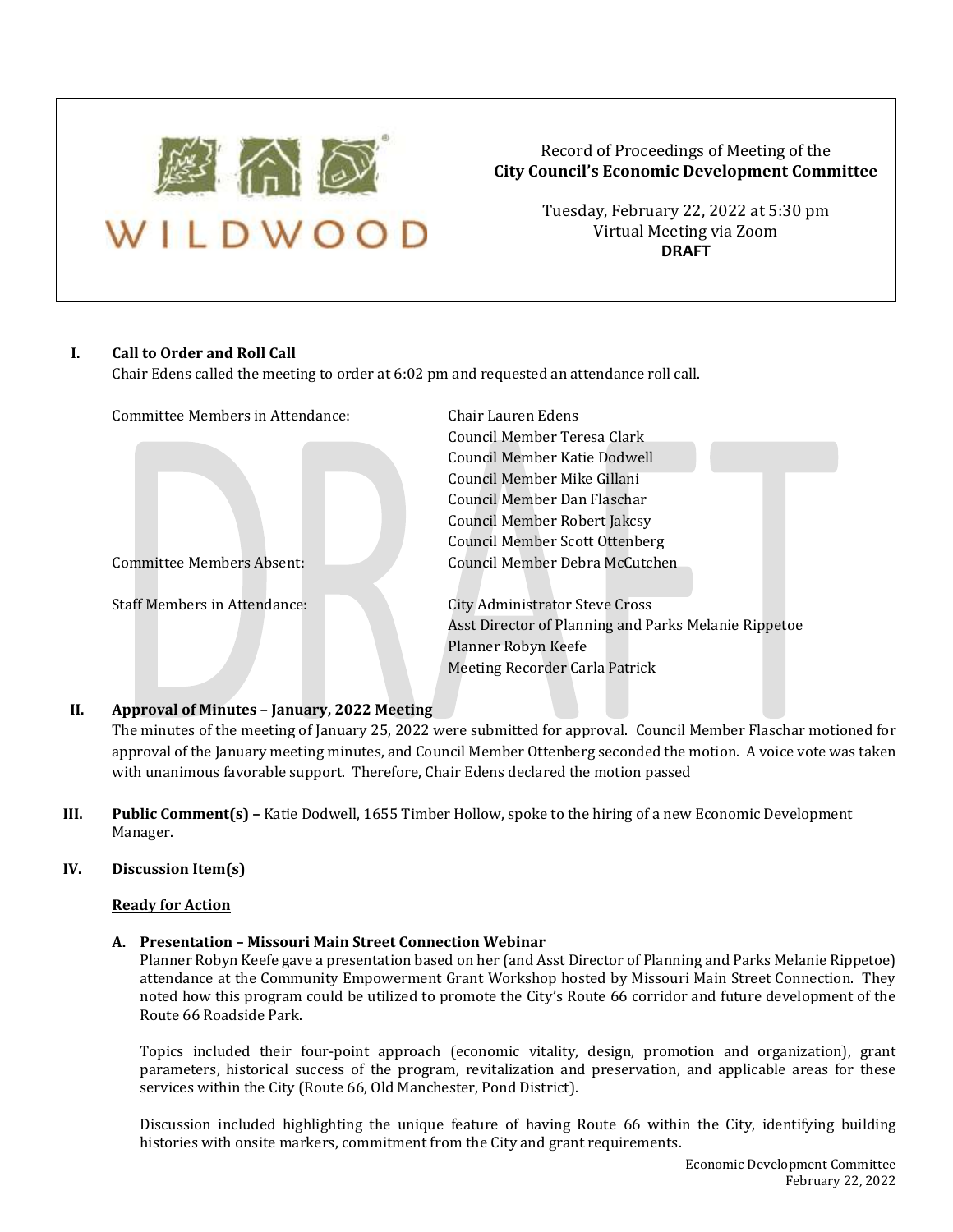

# Record of Proceedings of Meeting of the **City Council's Economic Development Committee**

Tuesday, February 22, 2022 at 5:30 pm Virtual Meeting via Zoom **DRAFT**

## **I. Call to Order and Roll Call**

Chair Edens called the meeting to order at 6:02 pm and requested an attendance roll call.

| Committee Members in Attendance:    | Chair Lauren Edens                                   |
|-------------------------------------|------------------------------------------------------|
|                                     | Council Member Teresa Clark                          |
|                                     | Council Member Katie Dodwell                         |
|                                     | Council Member Mike Gillani                          |
|                                     | Council Member Dan Flaschar                          |
|                                     | Council Member Robert Jakcsy                         |
|                                     | <b>Council Member Scott Ottenberg</b>                |
| <b>Committee Members Absent:</b>    | Council Member Debra McCutchen                       |
| <b>Staff Members in Attendance:</b> | <b>City Administrator Steve Cross</b>                |
|                                     | Asst Director of Planning and Parks Melanie Rippetoe |
|                                     | Planner Robyn Keefe                                  |
|                                     | Meeting Recorder Carla Patrick                       |

## **II. Approval of Minutes – January, 2022 Meeting**

The minutes of the meeting of January 25, 2022 were submitted for approval. Council Member Flaschar motioned for approval of the January meeting minutes, and Council Member Ottenberg seconded the motion. A voice vote was taken with unanimous favorable support. Therefore, Chair Edens declared the motion passed

**III. Public Comment(s) –** Katie Dodwell, 1655 Timber Hollow, spoke to the hiring of a new Economic Development Manager.

## **IV. Discussion Item(s)**

## **Ready for Action**

## **A. Presentation – Missouri Main Street Connection Webinar**

Planner Robyn Keefe gave a presentation based on her (and Asst Director of Planning and Parks Melanie Rippetoe) attendance at the Community Empowerment Grant Workshop hosted by Missouri Main Street Connection. They noted how this program could be utilized to promote the City's Route 66 corridor and future development of the Route 66 Roadside Park.

Topics included their four-point approach (economic vitality, design, promotion and organization), grant parameters, historical success of the program, revitalization and preservation, and applicable areas for these services within the City (Route 66, Old Manchester, Pond District).

Discussion included highlighting the unique feature of having Route 66 within the City, identifying building histories with onsite markers, commitment from the City and grant requirements.